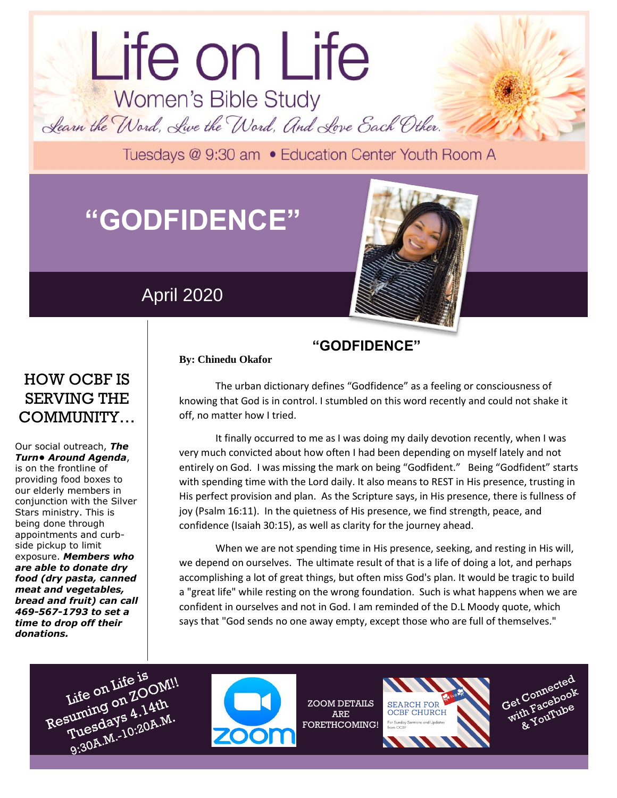# Life on Life Women's Bible Study Learn the Word, Live the Word, And Love Each Other.

Tuesdays @ 9:30 am . Education Center Youth Room A

## **"GODFIDENCE"**

## April 2020

**By: Chinedu Okafor**



## HOW OCBF IS SERVING THE COMMUNITY…

Our social outreach, *The Turn• Around Agenda*, is on the frontline of providing food boxes to our elderly members in conjunction with the Silver Stars ministry. This is being done through appointments and curbside pickup to limit exposure. *Members who are able to donate dry food (dry pasta, canned meat and vegetables, bread and fruit) can call 469-567-1793 to set a time to drop off their donations.*

#### **"GODFIDENCE"**

The urban dictionary defines "Godfidence" as a feeling or consciousness of knowing that God is in control. I stumbled on this word recently and could not shake it off, no matter how I tried.

It finally occurred to me as I was doing my daily devotion recently, when I was very much convicted about how often I had been depending on myself lately and not entirely on God. I was missing the mark on being "Godfident." Being "Godfident" starts with spending time with the Lord daily. It also means to REST in His presence, trusting in His perfect provision and plan. As the Scripture says, in His presence, there is fullness of joy (Psalm 16:11). In the quietness of His presence, we find strength, peace, and confidence (Isaiah 30:15), as well as clarity for the journey ahead.

When we are not spending time in His presence, seeking, and resting in His will, we depend on ourselves. The ultimate result of that is a life of doing a lot, and perhaps accomplishing a lot of great things, but often miss God's plan. It would be tragic to build a "great life" while resting on the wrong foundation. Such is what happens when we are confident in ourselves and not in God. I am reminded of the D.L Moody quote, which says that "God sends no one away empty, except those who are full of themselves."





ZOOM DETAILS ARE FORETHCOMING!





dolor sit amet.